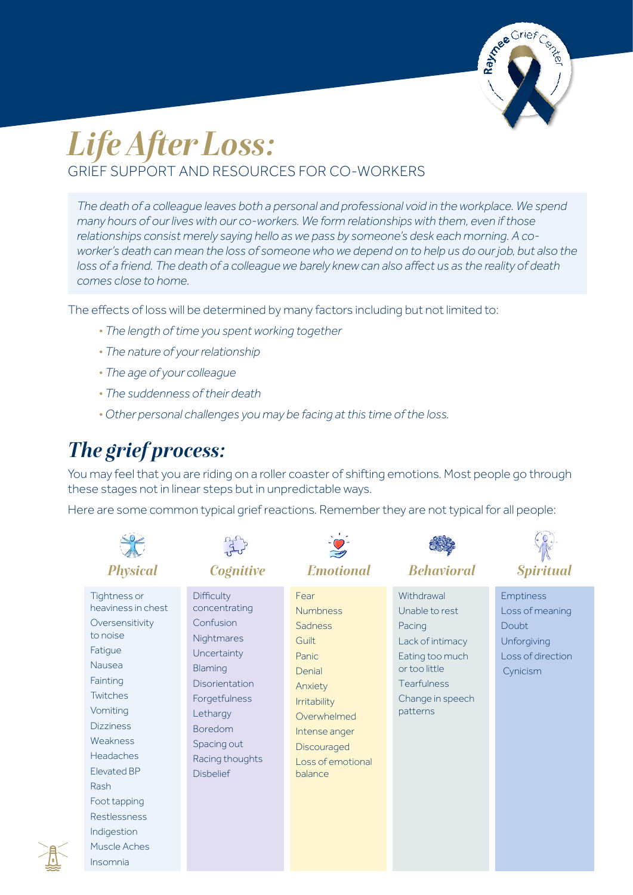

# *Life After Loss:* GRIEF SUPPORT AND RESOURCES FOR CO-WORKERS

*The death of a colleague leaves both a personal and professional void in the workplace. We spend many hours of our lives with our co-workers. We form relationships with them, even if those relationships consist merely saying hello as we pass by someone's desk each morning. A coworker's death can mean the loss of someone who we depend on to help us do our job, but also the loss of a friend. The death of a colleague we barely knew can also affect us as the reality of death comes close to home.*

The effects of loss will be determined by many factors including but not limited to:

- *• The length of time you spent working together*
- *• The nature of your relationship*
- *• The age of your colleague*
- *• The suddenness of their death*
- *• Other personal challenges you may be facing at this time of the loss.*

## *The grief process:*

You may feel that you are riding on a roller coaster of shifting emotions. Most people go through these stages not in linear steps but in unpredictable ways.

Here are some common typical grief reactions. Remember they are not typical for all people:

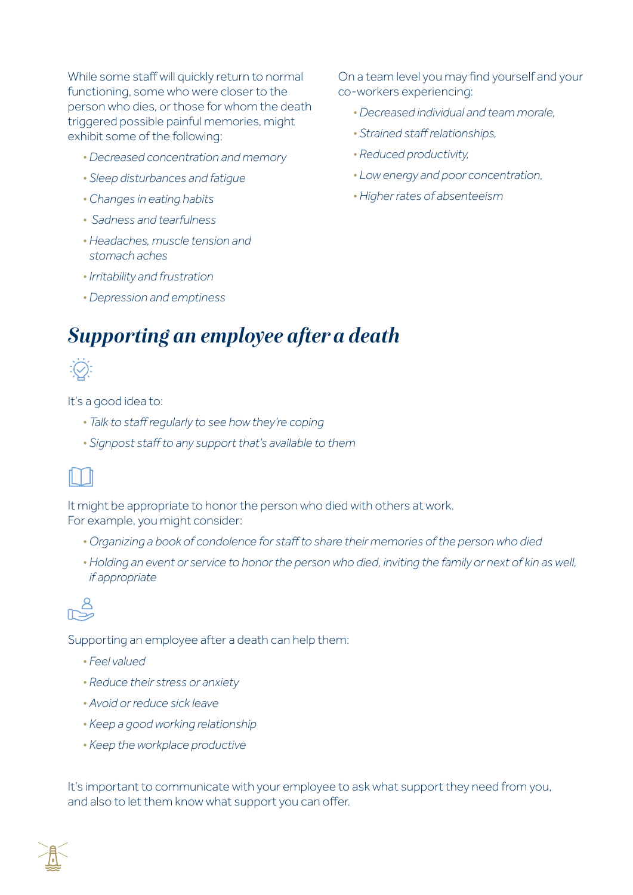While some staff will quickly return to normal functioning, some who were closer to the person who dies, or those for whom the death triggered possible painful memories, might exhibit some of the following:

- *• Decreased concentration and memory*
- *• Sleep disturbances and fatigue*
- *• Changes in eating habits*
- *Sadness and tearfulness*
- *• Headaches, muscle tension and stomach aches*
- *• Irritability and frustration*
- *• Depression and emptiness*

On a team level you may find yourself and your co-workers experiencing:

- *• Decreased individual and team morale,*
- *• Strained staff relationships,*
- *• Reduced productivity,*
- *• Low energy and poor concentration,*
- *• Higher rates of absenteeism*

## *Supporting an employee after a death*



It's a good idea to:

- *• Talk to staff regularly to see how they're coping*
- *• Signpost staff to any support that's available to them*



It might be appropriate to honor the person who died with others at work. For example, you might consider:

- *• Organizing a book of condolence for staff to share their memories of the person who died*
- *• Holding an event or service to honor the person who died, inviting the family or next of kin as well, if appropriate*



Supporting an employee after a death can help them:

- *• Feel valued*
- *• Reduce their stress or anxiety*
- *• Avoid or reduce sick leave*
- *• Keep a good working relationship*
- *• Keep the workplace productive*

It's important to communicate with your employee to ask what support they need from you, and also to let them know what support you can offer.

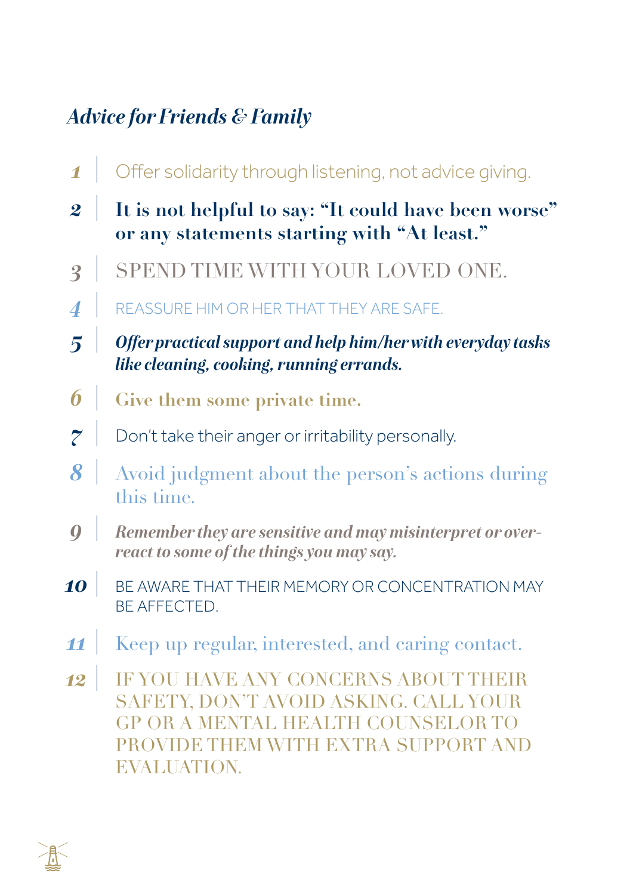## *Advice for Friends & Family*

- Offer solidarity through listening, not advice giving. *1*
- **It is not helpful to say: "It could have been worse" or any statements starting with "At least."** *2*
- SPEND TIME WITH YOUR LOVED ONE. *3*
- REASSURE HIM OR HER THAT THEY ARE SAFE. *4*
- *Offer practical support and help him/her with everyday tasks like cleaning, cooking, running errands. 5*
- **Give them some private time.** *6*
- Don't take their anger or irritability personally. *7*
- Avoid judgment about the person's actions during this time. *8*
- *Remember they are sensitive and may misinterpret or overreact to some of the things you may say. 9*
- BE AWARE THAT THEIR MEMORY OR CONCENTRATION MAY BE AFFECTED. *10*
- Keep up regular, interested, and caring contact. *11*
- IF YOU HAVE ANY CONCERNS ABOUT THEIR SAFETY, DON'T AVOID ASKING. CALL YOUR GP OR A MENTAL HEALTH COUNSELOR TO PROVIDE THEM WITH EXTRA SUPPORT AND EVALUATION. *12*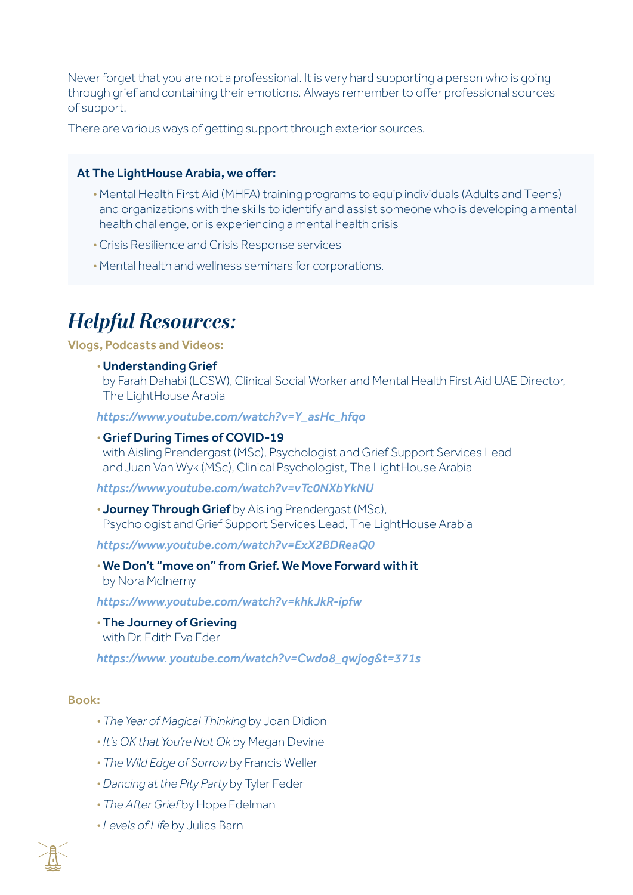Never forget that you are not a professional. It is very hard supporting a person who is going through grief and containing their emotions. Always remember to offer professional sources of support.

There are various ways of getting support through exterior sources.

#### At The LightHouse Arabia, we offer:

- *•* Mental Health First Aid (MHFA) training programs to equip individuals (Adults and Teens) and organizations with the skills to identify and assist someone who is developing a mental health challenge, or is experiencing a mental health crisis
- *•* Crisis Resilience and Crisis Response services
- *•* Mental health and wellness seminars for corporations.

## *Helpful Resources:*

Vlogs, Podcasts and Videos:

*•* Understanding Grief

by Farah Dahabi (LCSW), Clinical Social Worker and Mental Health First Aid UAE Director, The LightHouse Arabia

*https://www.youtube.com/watch?v=Y\_asHc\_hfqo*

#### *•* Grief During Times of COVID-19

with Aisling Prendergast (MSc), Psychologist and Grief Support Services Lead and Juan Van Wyk (MSc), Clinical Psychologist, The LightHouse Arabia

*https://www.youtube.com/watch?v=vTc0NXbYkNU*

*•* Journey Through Grief by Aisling Prendergast (MSc), Psychologist and Grief Support Services Lead, The LightHouse Arabia

*https://www.youtube.com/watch?v=ExX2BDReaQ0*

*•* We Don't "move on" from Grief. We Move Forward with it

by Nora McInerny

*https://www.youtube.com/watch?v=khkJkR-ipfw*

*•* The Journey of Grieving with Dr. Edith Eva Eder

*https://www. youtube.com/watch?v=Cwdo8\_qwjog&t=371s*

#### Book:

- *• The Year of Magical Thinking* by Joan Didion
- *• It's OK that You're Not Ok* by Megan Devine
- *• The Wild Edge of Sorrow* by Francis Weller
- *• Dancing at the Pity Party* by Tyler Feder
- *• The After Grief* by Hope Edelman
- *• Levels of Life* by Julias Barn